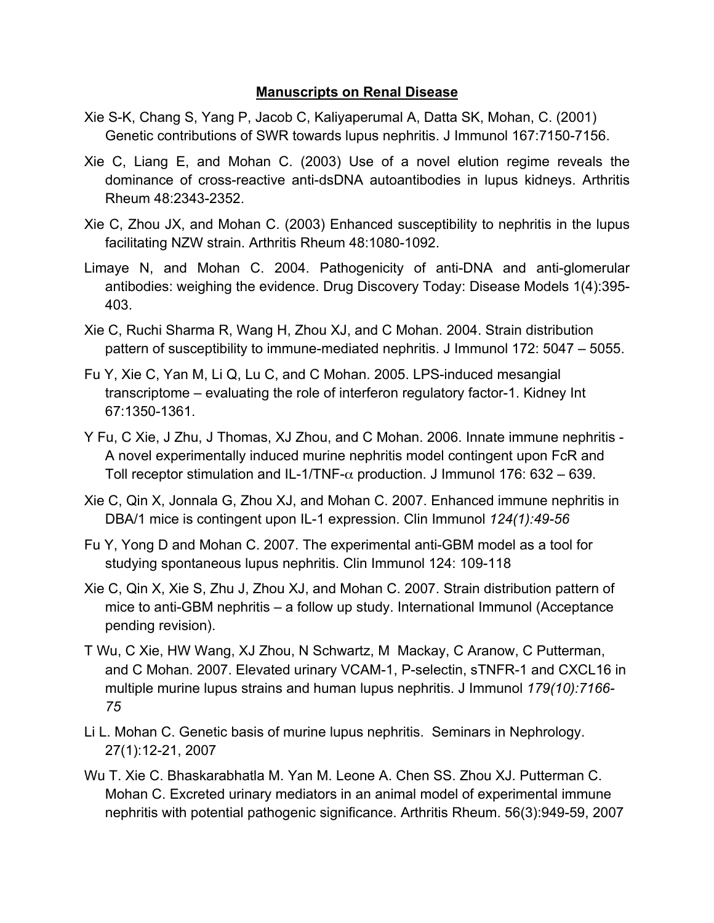## **Manuscripts on Renal Disease**

- Xie S-K, Chang S, Yang P, Jacob C, Kaliyaperumal A, Datta SK, Mohan, C. (2001) Genetic contributions of SWR towards lupus nephritis. J Immunol 167:7150-7156.
- Xie C, Liang E, and Mohan C. (2003) Use of a novel elution regime reveals the dominance of cross-reactive anti-dsDNA autoantibodies in lupus kidneys. Arthritis Rheum 48:2343-2352.
- Xie C, Zhou JX, and Mohan C. (2003) Enhanced susceptibility to nephritis in the lupus facilitating NZW strain. Arthritis Rheum 48:1080-1092.
- Limaye N, and Mohan C. 2004. Pathogenicity of anti-DNA and anti-glomerular antibodies: weighing the evidence. Drug Discovery Today: Disease Models 1(4):395- 403.
- Xie C, Ruchi Sharma R, Wang H, Zhou XJ, and C Mohan. 2004. Strain distribution pattern of susceptibility to immune-mediated nephritis. J Immunol 172: 5047 – 5055.
- Fu Y, Xie C, Yan M, Li Q, Lu C, and C Mohan. 2005. LPS-induced mesangial transcriptome – evaluating the role of interferon regulatory factor-1. Kidney Int 67:1350-1361.
- Y Fu, C Xie, J Zhu, J Thomas, XJ Zhou, and C Mohan. 2006. Innate immune nephritis A novel experimentally induced murine nephritis model contingent upon FcR and Toll receptor stimulation and IL-1/TNF- $\alpha$  production. J Immunol 176: 632 – 639.
- Xie C, Qin X, Jonnala G, Zhou XJ, and Mohan C. 2007. Enhanced immune nephritis in DBA/1 mice is contingent upon IL-1 expression. Clin Immunol *124(1):49-56*
- Fu Y, Yong D and Mohan C. 2007. The experimental anti-GBM model as a tool for studying spontaneous lupus nephritis. Clin Immunol 124: 109-118
- Xie C, Qin X, Xie S, Zhu J, Zhou XJ, and Mohan C. 2007. Strain distribution pattern of mice to anti-GBM nephritis – a follow up study. International Immunol (Acceptance pending revision).
- T Wu, C Xie, HW Wang, XJ Zhou, N Schwartz, M Mackay, C Aranow, C Putterman, and C Mohan. 2007. Elevated urinary VCAM-1, P-selectin, sTNFR-1 and CXCL16 in multiple murine lupus strains and human lupus nephritis. J Immunol *179(10):7166- 75*
- Li L. Mohan C. Genetic basis of murine lupus nephritis. Seminars in Nephrology. 27(1):12-21, 2007
- Wu T. Xie C. Bhaskarabhatla M. Yan M. Leone A. Chen SS. Zhou XJ. Putterman C. Mohan C. Excreted urinary mediators in an animal model of experimental immune nephritis with potential pathogenic significance. Arthritis Rheum. 56(3):949-59, 2007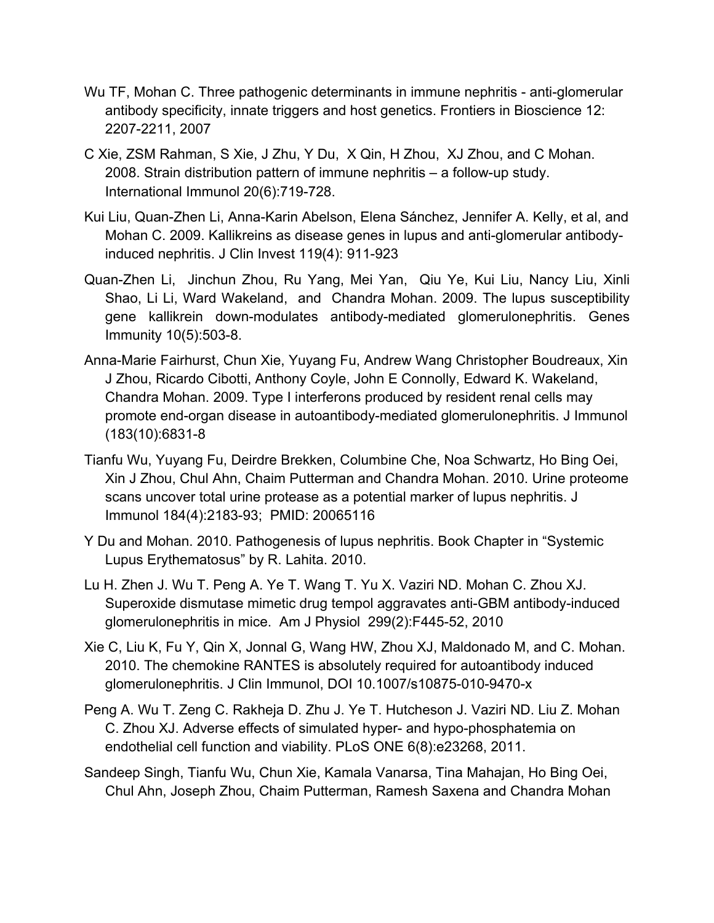- Wu TF, Mohan C. Three pathogenic determinants in immune nephritis anti-glomerular antibody specificity, innate triggers and host genetics. Frontiers in Bioscience 12: 2207-2211, 2007
- C Xie, ZSM Rahman, S Xie, J Zhu, Y Du, X Qin, H Zhou, XJ Zhou, and C Mohan. 2008. Strain distribution pattern of immune nephritis – a follow-up study. International Immunol 20(6):719-728.
- Kui Liu, Quan-Zhen Li, Anna-Karin Abelson, Elena Sánchez, Jennifer A. Kelly, et al, and Mohan C. 2009. Kallikreins as disease genes in lupus and anti-glomerular antibodyinduced nephritis. J Clin Invest 119(4): 911-923
- Quan-Zhen Li, Jinchun Zhou, Ru Yang, Mei Yan, Qiu Ye, Kui Liu, Nancy Liu, Xinli Shao, Li Li, Ward Wakeland, and Chandra Mohan. 2009. The lupus susceptibility gene kallikrein down-modulates antibody-mediated glomerulonephritis. Genes Immunity 10(5):503-8.
- Anna-Marie Fairhurst, Chun Xie, Yuyang Fu, Andrew Wang Christopher Boudreaux, Xin J Zhou, Ricardo Cibotti, Anthony Coyle, John E Connolly, Edward K. Wakeland, Chandra Mohan. 2009. Type I interferons produced by resident renal cells may promote end-organ disease in autoantibody-mediated glomerulonephritis. J Immunol (183(10):6831-8
- Tianfu Wu, Yuyang Fu, Deirdre Brekken, Columbine Che, Noa Schwartz, Ho Bing Oei, Xin J Zhou, Chul Ahn, Chaim Putterman and Chandra Mohan. 2010. Urine proteome scans uncover total urine protease as a potential marker of lupus nephritis. J Immunol 184(4):2183-93; PMID: 20065116
- Y Du and Mohan. 2010. Pathogenesis of lupus nephritis. Book Chapter in "Systemic Lupus Erythematosus" by R. Lahita. 2010.
- Lu H. Zhen J. Wu T. Peng A. Ye T. Wang T. Yu X. Vaziri ND. Mohan C. Zhou XJ. Superoxide dismutase mimetic drug tempol aggravates anti-GBM antibody-induced glomerulonephritis in mice. Am J Physiol 299(2):F445-52, 2010
- Xie C, Liu K, Fu Y, Qin X, Jonnal G, Wang HW, Zhou XJ, Maldonado M, and C. Mohan. 2010. The chemokine RANTES is absolutely required for autoantibody induced glomerulonephritis. J Clin Immunol, DOI 10.1007/s10875-010-9470-x
- Peng A. Wu T. Zeng C. Rakheja D. Zhu J. Ye T. Hutcheson J. Vaziri ND. Liu Z. Mohan C. Zhou XJ. Adverse effects of simulated hyper- and hypo-phosphatemia on endothelial cell function and viability. PLoS ONE 6(8):e23268, 2011.
- Sandeep Singh, Tianfu Wu, Chun Xie, Kamala Vanarsa, Tina Mahajan, Ho Bing Oei, Chul Ahn, Joseph Zhou, Chaim Putterman, Ramesh Saxena and Chandra Mohan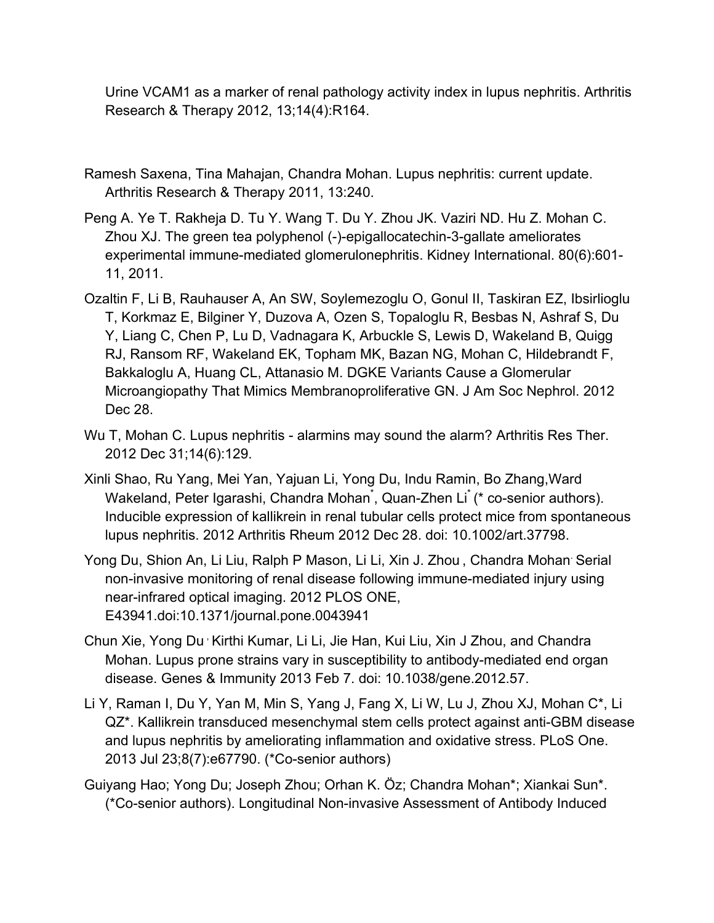Urine VCAM1 as a marker of renal pathology activity index in lupus nephritis. Arthritis Research & Therapy 2012, 13;14(4):R164.

- Ramesh Saxena, Tina Mahajan, Chandra Mohan. Lupus nephritis: current update. Arthritis Research & Therapy 2011, 13:240.
- Peng A. Ye T. Rakheja D. Tu Y. Wang T. Du Y. Zhou JK. Vaziri ND. Hu Z. Mohan C. Zhou XJ. The green tea polyphenol (-)-epigallocatechin-3-gallate ameliorates experimental immune-mediated glomerulonephritis. Kidney International. 80(6):601- 11, 2011.
- Ozaltin F, Li B, Rauhauser A, An SW, Soylemezoglu O, Gonul II, Taskiran EZ, Ibsirlioglu T, Korkmaz E, Bilginer Y, Duzova A, Ozen S, Topaloglu R, Besbas N, Ashraf S, Du Y, Liang C, Chen P, Lu D, Vadnagara K, Arbuckle S, Lewis D, Wakeland B, Quigg RJ, Ransom RF, Wakeland EK, Topham MK, Bazan NG, Mohan C, Hildebrandt F, Bakkaloglu A, Huang CL, Attanasio M. DGKE Variants Cause a Glomerular Microangiopathy That Mimics Membranoproliferative GN. J Am Soc Nephrol. 2012 Dec 28.
- Wu T, Mohan C. Lupus nephritis alarmins may sound the alarm? Arthritis Res Ther. 2012 Dec 31;14(6):129.
- Xinli Shao, Ru Yang, Mei Yan, Yajuan Li, Yong Du, Indu Ramin, Bo Zhang,Ward Wakeland, Peter Igarashi, Chandra Mohan<sup>\*</sup>, Quan-Zhen Li<sup>\*</sup> (\* co-senior authors). Inducible expression of kallikrein in renal tubular cells protect mice from spontaneous lupus nephritis. 2012 Arthritis Rheum 2012 Dec 28. doi: 10.1002/art.37798.
- Yong Du, Shion An, Li Liu, Ralph P Mason, Li Li, Xin J. Zhou , Chandra Mohan. Serial non-invasive monitoring of renal disease following immune-mediated injury using near-infrared optical imaging. 2012 PLOS ONE, E43941.doi:10.1371/journal.pone.0043941
- Chun Xie, Yong Du , Kirthi Kumar, Li Li, Jie Han, Kui Liu, Xin J Zhou, and Chandra Mohan. Lupus prone strains vary in susceptibility to antibody-mediated end organ disease. Genes & Immunity 2013 Feb 7. doi: 10.1038/gene.2012.57.
- Li Y, Raman I, Du Y, Yan M, Min S, Yang J, Fang X, Li W, Lu J, Zhou XJ, Mohan C\*, Li QZ\*. Kallikrein transduced mesenchymal stem cells protect against anti-GBM disease and lupus nephritis by ameliorating inflammation and oxidative stress. PLoS One. 2013 Jul 23;8(7):e67790. (\*Co-senior authors)
- Guiyang Hao; Yong Du; Joseph Zhou; Orhan K. Öz; Chandra Mohan\*; Xiankai Sun\*. (\*Co-senior authors). Longitudinal Non-invasive Assessment of Antibody Induced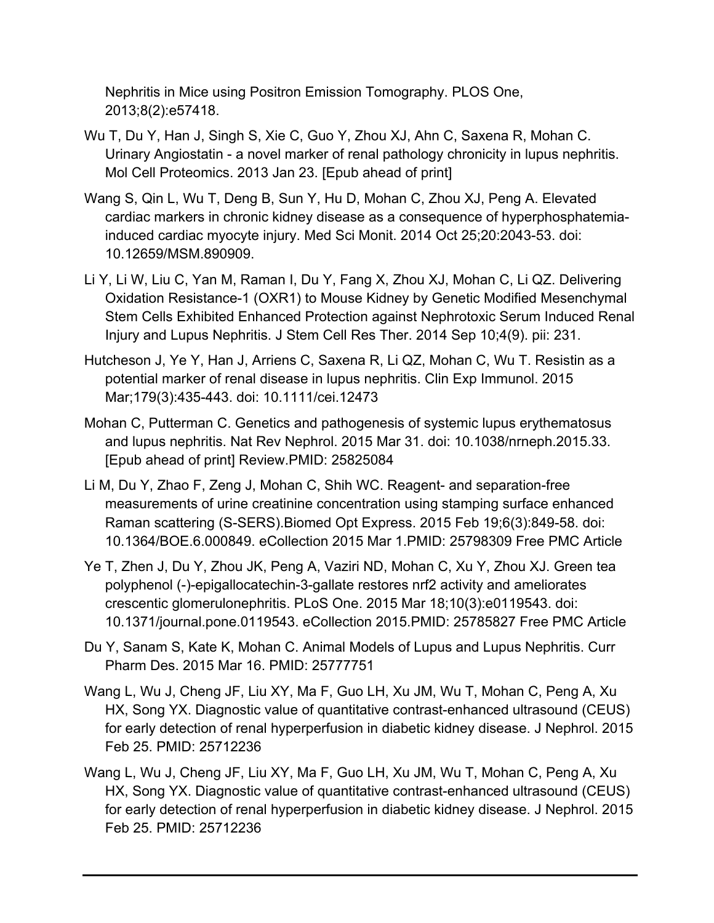Nephritis in Mice using Positron Emission Tomography. PLOS One, 2013;8(2):e57418.

- Wu T, Du Y, Han J, Singh S, Xie C, Guo Y, Zhou XJ, Ahn C, Saxena R, Mohan C. Urinary Angiostatin - a novel marker of renal pathology chronicity in lupus nephritis. Mol Cell Proteomics. 2013 Jan 23. [Epub ahead of print]
- Wang S, Qin L, Wu T, Deng B, Sun Y, Hu D, Mohan C, Zhou XJ, Peng A. Elevated cardiac markers in chronic kidney disease as a consequence of hyperphosphatemiainduced cardiac myocyte injury. Med Sci Monit. 2014 Oct 25;20:2043-53. doi: 10.12659/MSM.890909.
- Li Y, Li W, Liu C, Yan M, Raman I, Du Y, Fang X, Zhou XJ, Mohan C, Li QZ. Delivering Oxidation Resistance-1 (OXR1) to Mouse Kidney by Genetic Modified Mesenchymal Stem Cells Exhibited Enhanced Protection against Nephrotoxic Serum Induced Renal Injury and Lupus Nephritis. J Stem Cell Res Ther. 2014 Sep 10;4(9). pii: 231.
- Hutcheson J, Ye Y, Han J, Arriens C, Saxena R, Li QZ, Mohan C, Wu T. Resistin as a potential marker of renal disease in lupus nephritis. Clin Exp Immunol. 2015 Mar;179(3):435-443. doi: 10.1111/cei.12473
- Mohan C, Putterman C. Genetics and pathogenesis of systemic lupus erythematosus and lupus nephritis. Nat Rev Nephrol. 2015 Mar 31. doi: 10.1038/nrneph.2015.33. [Epub ahead of print] Review.PMID: 25825084
- Li M, Du Y, Zhao F, Zeng J, Mohan C, Shih WC. Reagent- and separation-free measurements of urine creatinine concentration using stamping surface enhanced Raman scattering (S-SERS).Biomed Opt Express. 2015 Feb 19;6(3):849-58. doi: 10.1364/BOE.6.000849. eCollection 2015 Mar 1.PMID: 25798309 Free PMC Article
- Ye T, Zhen J, Du Y, Zhou JK, Peng A, Vaziri ND, Mohan C, Xu Y, Zhou XJ. Green tea polyphenol (-)-epigallocatechin-3-gallate restores nrf2 activity and ameliorates crescentic glomerulonephritis. PLoS One. 2015 Mar 18;10(3):e0119543. doi: 10.1371/journal.pone.0119543. eCollection 2015.PMID: 25785827 Free PMC Article
- Du Y, Sanam S, Kate K, Mohan C. Animal Models of Lupus and Lupus Nephritis. Curr Pharm Des. 2015 Mar 16. PMID: 25777751
- Wang L, Wu J, Cheng JF, Liu XY, Ma F, Guo LH, Xu JM, Wu T, Mohan C, Peng A, Xu HX, Song YX. Diagnostic value of quantitative contrast-enhanced ultrasound (CEUS) for early detection of renal hyperperfusion in diabetic kidney disease. J Nephrol. 2015 Feb 25. PMID: 25712236
- Wang L, Wu J, Cheng JF, Liu XY, Ma F, Guo LH, Xu JM, Wu T, Mohan C, Peng A, Xu HX, Song YX. Diagnostic value of quantitative contrast-enhanced ultrasound (CEUS) for early detection of renal hyperperfusion in diabetic kidney disease. J Nephrol. 2015 Feb 25. PMID: 25712236